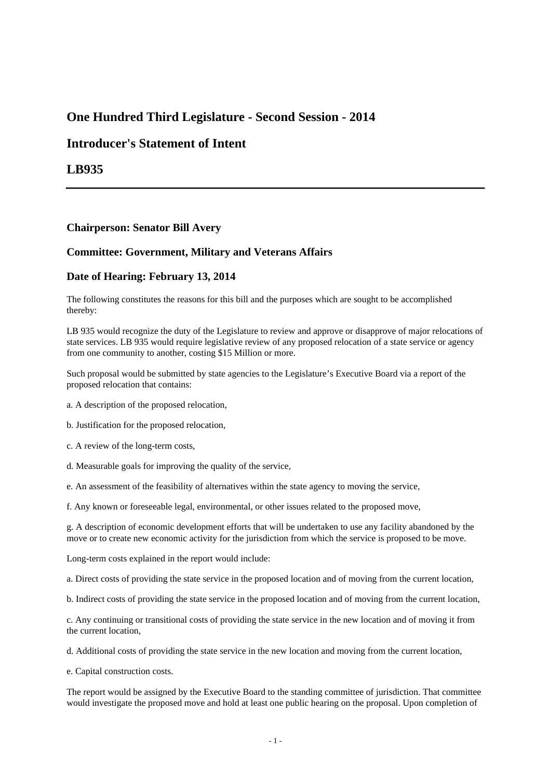# **One Hundred Third Legislature - Second Session - 2014**

## **Introducer's Statement of Intent**

**LB935**

### **Chairperson: Senator Bill Avery**

### **Committee: Government, Military and Veterans Affairs**

#### **Date of Hearing: February 13, 2014**

The following constitutes the reasons for this bill and the purposes which are sought to be accomplished thereby:

LB 935 would recognize the duty of the Legislature to review and approve or disapprove of major relocations of state services. LB 935 would require legislative review of any proposed relocation of a state service or agency from one community to another, costing \$15 Million or more.

Such proposal would be submitted by state agencies to the Legislature's Executive Board via a report of the proposed relocation that contains:

- a. A description of the proposed relocation,
- b. Justification for the proposed relocation,
- c. A review of the long-term costs,
- d. Measurable goals for improving the quality of the service,
- e. An assessment of the feasibility of alternatives within the state agency to moving the service,

f. Any known or foreseeable legal, environmental, or other issues related to the proposed move,

g. A description of economic development efforts that will be undertaken to use any facility abandoned by the move or to create new economic activity for the jurisdiction from which the service is proposed to be move.

Long-term costs explained in the report would include:

a. Direct costs of providing the state service in the proposed location and of moving from the current location,

b. Indirect costs of providing the state service in the proposed location and of moving from the current location,

c. Any continuing or transitional costs of providing the state service in the new location and of moving it from the current location,

d. Additional costs of providing the state service in the new location and moving from the current location,

e. Capital construction costs.

The report would be assigned by the Executive Board to the standing committee of jurisdiction. That committee would investigate the proposed move and hold at least one public hearing on the proposal. Upon completion of